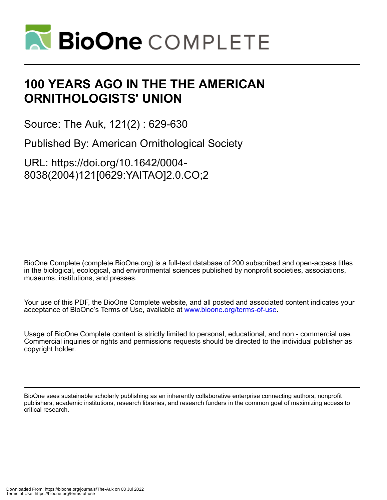

## **100 YEARS AGO IN THE THE AMERICAN ORNITHOLOGISTS' UNION**

Source: The Auk, 121(2) : 629-630

Published By: American Ornithological Society

URL: https://doi.org/10.1642/0004- 8038(2004)121[0629:YAITAO]2.0.CO;2

BioOne Complete (complete.BioOne.org) is a full-text database of 200 subscribed and open-access titles in the biological, ecological, and environmental sciences published by nonprofit societies, associations, museums, institutions, and presses.

Your use of this PDF, the BioOne Complete website, and all posted and associated content indicates your acceptance of BioOne's Terms of Use, available at www.bioone.org/terms-of-use.

Usage of BioOne Complete content is strictly limited to personal, educational, and non - commercial use. Commercial inquiries or rights and permissions requests should be directed to the individual publisher as copyright holder.

BioOne sees sustainable scholarly publishing as an inherently collaborative enterprise connecting authors, nonprofit publishers, academic institutions, research libraries, and research funders in the common goal of maximizing access to critical research.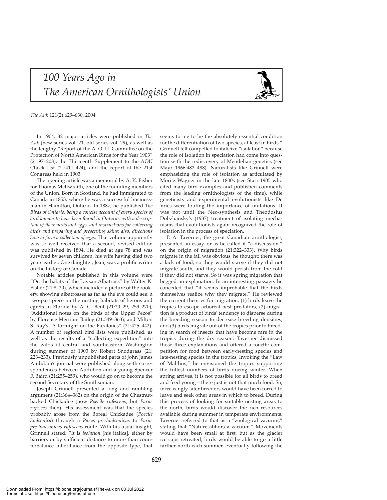## *100 Years Ago in The American Ornithologists' Union*



*The Auk* 121(2):629–630, 2004

In 1904, 32 major articles were published in *The Auk* (new series vol. 21, old series vol. 29), as well as the lengthy "Report of the A. O. U. Committee on the Protection of North American Birds for the Year 1903" (21:97–208), the Thirteenth Supplement to the AOU Check-List (21:411–424), and the report of the 21st Congress held in 1903.

The opening article was a memorial by A. K. Fisher for Thomas McIlwraith, one of the founding members of the Union. Born in Scotland, he had immigrated to Canada in 1853, where he was a successful businessman in Hamilton, Ontario. In 1887, he published *The Birds of Ontario, being a concise account of every species of bird known to have been found in Ontario: with a description of their nests and eggs, and instructions for collecting birds and preparing and preserving skins: also, directions how to form a collection of eggs*. That volume apparently was so well received that a second, revised edition was published in 1894. He died at age 78 and was survived by seven children, his wife having died two years earlier. One daughter, Jean, was a prolific writer on the history of Canada.

Notable articles published in this volume were "On the habits of the Laysan Albatross" by Walter K. Fisher (21:8–20), which included a picture of the rookery, showing albatrosses as far as the eye could see; a two-part piece on the nesting habitats of herons and egrets in Florida by A. C. Bent (21:20–29, 259–270); "Additional notes on the birds of the Upper Pecos" by Florence Merriam Bailey (21:349–363); and Milton S. Ray's "A fortnight on the Faralones" (21:425–442). A number of regional bird lists were published, as well as the results of a "collecting expedition" into the wilds of central and southeastern Washington during summer of 1903 by Robert Snodgrass (21: 223–233). Previously unpublished parts of John James Audubon's journal were published along with correspondences between Audubon and a young Spencer F. Baird (21:255–259), who would go on to become the second Secretary of the Smithsonian.

Joseph Grinnell presented a long and rambling argument (21:364–382) on the origin of the Chestnutbacked Chickadee (now *Poecile rufescens*, but *Parus rufesces* then). His assessment was that the species probably arose from the Boreal Chickadee (*Poecile hudsonica*) through a *Parus pre-hudsonicus* to *Parus pre-hudsonicus rufescens* route. With his usual insight, Grinnell stated, "It is *isolation* [his italics], either by barriers or by sufficient distance to more than counterbalance inheritance from the opposite type, that seems to me to be the absolutely essential condition for the differentiation of two species, at least in birds." Grinnell felt compelled to italicize "isolation" because the role of isolation in speciation had come into question with the rediscovery of Mendelian genetics (see Mayr 1966:482–488). Naturalists like Grinnell were emphasizing the role of isolation as articulated by Moritz Wagner in the late 1800s (see Starr 1905 who cited many bird examples and published comments from the leading ornithologists of the time), while geneticists and experimental evolutionists like De Vries were touting the importance of mutations. It was not until the Neo-synthesis and Theodosius Dobzhansky's (1937) treatment of isolating mechanisms that evolutionists again recognized the role of isolation in the process of speciation.

P. A. Taverner, the great Canadian ornithologist, presented an essay, or as he called it "a discussion," on the origin of migration (21:322–333). Why birds migrate in the fall was obvious, he thought: there was a lack of food, so they would starve if they did not migrate south, and they would perish from the cold if they did not starve. So it was spring migration that begged an explanation. In an interesting passage, he conceded that "it seems improbable that the birds themselves realize why they migrate." He reviewed the current theories for migration: (1) birds leave the tropics to escape arboreal nest predators, (2) migration is a product of birds' tendency to disperse during the breeding season to decrease breeding densities, and (3) birds migrate out of the tropics prior to breeding in search of insects that have become rare in the tropics during the dry season. Taverner dismissed those three explanations and offered a fourth: competition for food between early-nesting species and late-nesting species in the tropics. Invoking the "Law of Malthus," he envisioned the tropics supporting the fullest numbers of birds during winter. When spring arrives, it is not possible for all birds to breed and feed young—there just is not that much food. So, increasingly later breeders would have been forced to leave and seek other areas in which to breed. During this process of looking for suitable nesting areas to the north, birds would discover the rich resources available during summer in temperate environments. Taverner referred to that as a "zoological vacuum," stating that "Nature abhors a vacuum." Movements would have been small at first, but as the glacier ice caps retreated, birds would be able to go a little farther north each summer, eventually following the